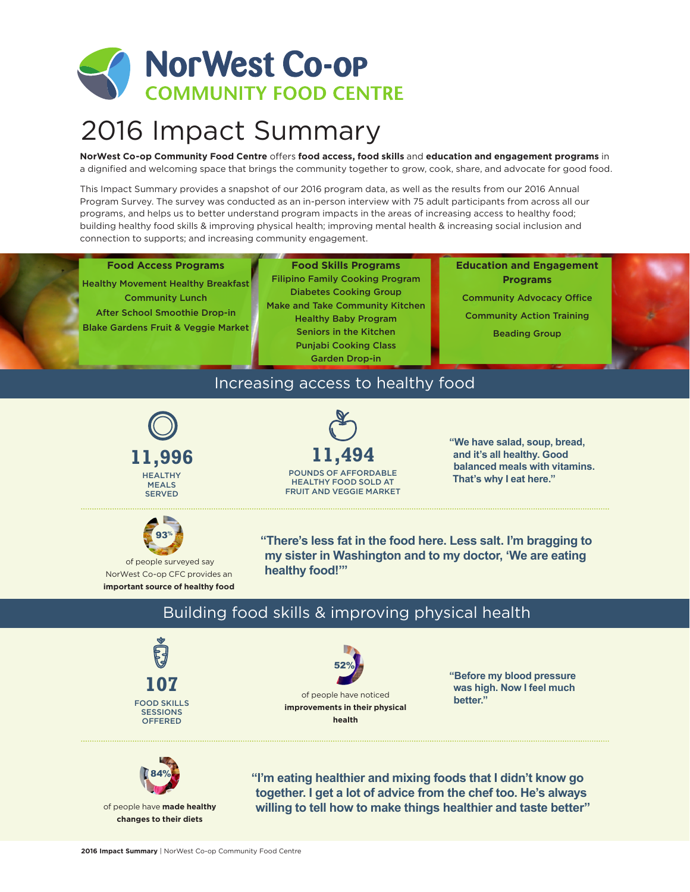

# 2016 Impact Summary

**NorWest Co-op Community Food Centre** offers **food access, food skills** and **education and engagement programs** in a dignified and welcoming space that brings the community together to grow, cook, share, and advocate for good food.

This Impact Summary provides a snapshot of our 2016 program data, as well as the results from our 2016 Annual Program Survey. The survey was conducted as an in-person interview with 75 adult participants from across all our programs, and helps us to better understand program impacts in the areas of increasing access to healthy food; building healthy food skills & improving physical health; improving mental health & increasing social inclusion and connection to supports; and increasing community engagement.

#### **Food Access Programs**

Healthy Movement Healthy Breakfast Community Lunch After School Smoothie Drop-in Blake Gardens Fruit & Veggie Market

**Food Skills Programs** Filipino Family Cooking Program Diabetes Cooking Group Make and Take Community Kitchen Healthy Baby Program Seniors in the Kitchen Punjabi Cooking Class Garden Drop-in

**Education and Engagement Programs** Community Advocacy Office Community Action Training Beading Group

### Increasing access to healthy food





**"We have salad, soup, bread, and it's all healthy. Good balanced meals with vitamins. That's why I eat here."**



 of people surveyed say NorWest Co-op CFC provides an **important source of healthy food**

**"There's less fat in the food here. Less salt. I'm bragging to my sister in Washington and to my doctor, 'We are eating healthy food!'"**

### Building food skills & improving physical health





**"Before my blood pressure was high. Now I feel much better."**



of people have **made healthy changes to their diets**

**"I'm eating healthier and mixing foods that I didn't know go together. I get a lot of advice from the chef too. He's always willing to tell how to make things healthier and taste better"**